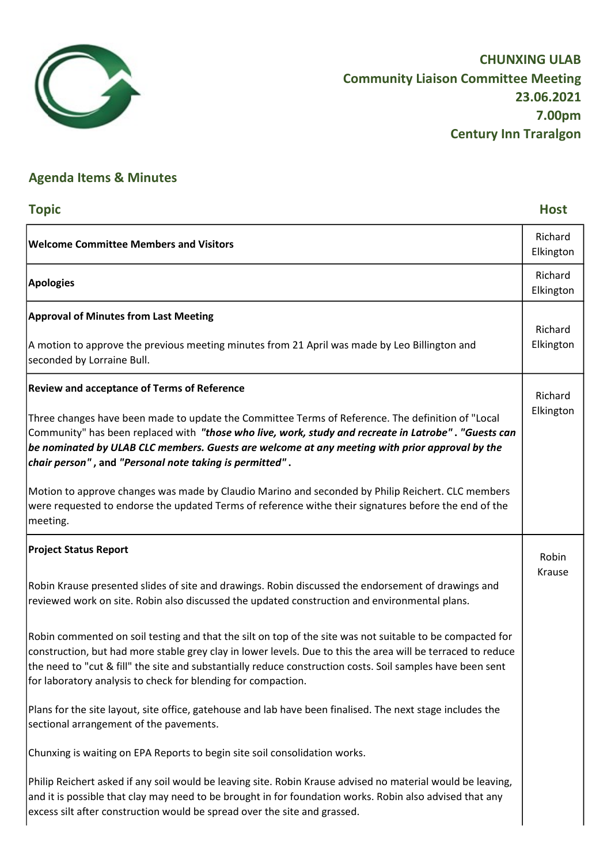

## Agenda Items & Minutes

| <b>Topic</b>                                                                                                                                                                                                                                                                                                                                                                                             | <b>Host</b>          |
|----------------------------------------------------------------------------------------------------------------------------------------------------------------------------------------------------------------------------------------------------------------------------------------------------------------------------------------------------------------------------------------------------------|----------------------|
| <b>Welcome Committee Members and Visitors</b>                                                                                                                                                                                                                                                                                                                                                            | Richard<br>Elkington |
| <b>Apologies</b>                                                                                                                                                                                                                                                                                                                                                                                         | Richard<br>Elkington |
| <b>Approval of Minutes from Last Meeting</b>                                                                                                                                                                                                                                                                                                                                                             | Richard              |
| A motion to approve the previous meeting minutes from 21 April was made by Leo Billington and<br>seconded by Lorraine Bull.                                                                                                                                                                                                                                                                              | Elkington            |
| <b>Review and acceptance of Terms of Reference</b>                                                                                                                                                                                                                                                                                                                                                       | Richard              |
| Three changes have been made to update the Committee Terms of Reference. The definition of "Local<br>Community" has been replaced with "those who live, work, study and recreate in Latrobe". "Guests can<br>be nominated by ULAB CLC members. Guests are welcome at any meeting with prior approval by the<br>chair person", and "Personal note taking is permitted".                                   | Elkington            |
| Motion to approve changes was made by Claudio Marino and seconded by Philip Reichert. CLC members<br>were requested to endorse the updated Terms of reference withe their signatures before the end of the<br>meeting.                                                                                                                                                                                   |                      |
| <b>Project Status Report</b>                                                                                                                                                                                                                                                                                                                                                                             | Robin                |
| Robin Krause presented slides of site and drawings. Robin discussed the endorsement of drawings and<br>reviewed work on site. Robin also discussed the updated construction and environmental plans.                                                                                                                                                                                                     | Krause               |
| Robin commented on soil testing and that the silt on top of the site was not suitable to be compacted for<br>construction, but had more stable grey clay in lower levels. Due to this the area will be terraced to reduce<br>the need to "cut & fill" the site and substantially reduce construction costs. Soil samples have been sent<br>for laboratory analysis to check for blending for compaction. |                      |
| Plans for the site layout, site office, gatehouse and lab have been finalised. The next stage includes the<br>sectional arrangement of the pavements.                                                                                                                                                                                                                                                    |                      |
| Chunxing is waiting on EPA Reports to begin site soil consolidation works.                                                                                                                                                                                                                                                                                                                               |                      |
| Philip Reichert asked if any soil would be leaving site. Robin Krause advised no material would be leaving,<br>and it is possible that clay may need to be brought in for foundation works. Robin also advised that any<br>excess silt after construction would be spread over the site and grassed.                                                                                                     |                      |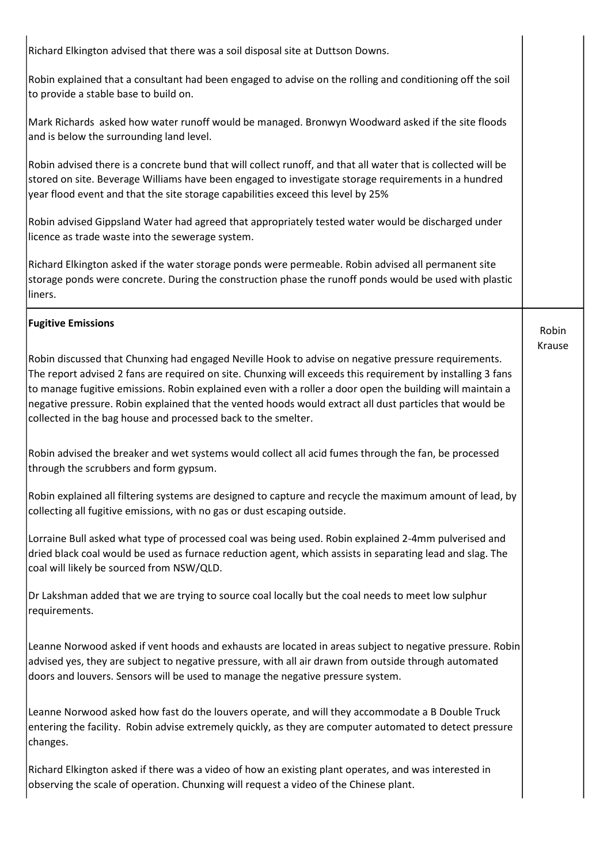Richard Elkington advised that there was a soil disposal site at Duttson Downs. Robin explained that a consultant had been engaged to advise on the rolling and conditioning off the soil to provide a stable base to build on. Mark Richards asked how water runoff would be managed. Bronwyn Woodward asked if the site floods and is below the surrounding land level. Robin advised there is a concrete bund that will collect runoff, and that all water that is collected will be stored on site. Beverage Williams have been engaged to investigate storage requirements in a hundred year flood event and that the site storage capabilities exceed this level by 25% Robin advised Gippsland Water had agreed that appropriately tested water would be discharged under licence as trade waste into the sewerage system. Richard Elkington asked if the water storage ponds were permeable. Robin advised all permanent site storage ponds were concrete. During the construction phase the runoff ponds would be used with plastic liners. Fugitive Emissions Robin discussed that Chunxing had engaged Neville Hook to advise on negative pressure requirements. The report advised 2 fans are required on site. Chunxing will exceeds this requirement by installing 3 fans to manage fugitive emissions. Robin explained even with a roller a door open the building will maintain a negative pressure. Robin explained that the vented hoods would extract all dust particles that would be collected in the bag house and processed back to the smelter. Robin advised the breaker and wet systems would collect all acid fumes through the fan, be processed through the scrubbers and form gypsum. Robin explained all filtering systems are designed to capture and recycle the maximum amount of lead, by collecting all fugitive emissions, with no gas or dust escaping outside. Lorraine Bull asked what type of processed coal was being used. Robin explained 2-4mm pulverised and dried black coal would be used as furnace reduction agent, which assists in separating lead and slag. The coal will likely be sourced from NSW/QLD. Dr Lakshman added that we are trying to source coal locally but the coal needs to meet low sulphur requirements. Leanne Norwood asked if vent hoods and exhausts are located in areas subject to negative pressure. Robin advised yes, they are subject to negative pressure, with all air drawn from outside through automated doors and louvers. Sensors will be used to manage the negative pressure system. Leanne Norwood asked how fast do the louvers operate, and will they accommodate a B Double Truck entering the facility. Robin advise extremely quickly, as they are computer automated to detect pressure changes. Richard Elkington asked if there was a video of how an existing plant operates, and was interested in observing the scale of operation. Chunxing will request a video of the Chinese plant. Robin Krause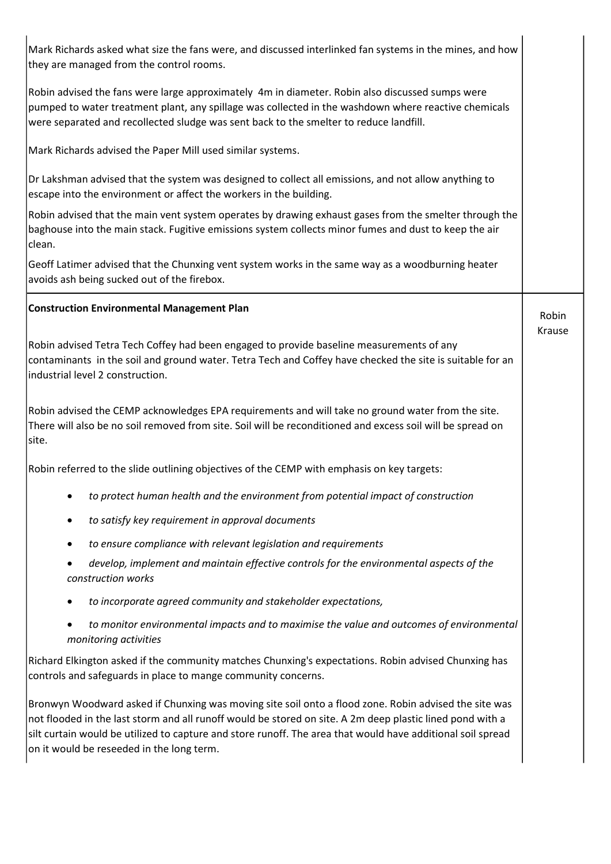| Mark Richards asked what size the fans were, and discussed interlinked fan systems in the mines, and how<br>they are managed from the control rooms.                                                                                                                                                                                                                           |                 |
|--------------------------------------------------------------------------------------------------------------------------------------------------------------------------------------------------------------------------------------------------------------------------------------------------------------------------------------------------------------------------------|-----------------|
| Robin advised the fans were large approximately 4m in diameter. Robin also discussed sumps were<br>pumped to water treatment plant, any spillage was collected in the washdown where reactive chemicals<br>were separated and recollected sludge was sent back to the smelter to reduce landfill.                                                                              |                 |
| Mark Richards advised the Paper Mill used similar systems.                                                                                                                                                                                                                                                                                                                     |                 |
| Dr Lakshman advised that the system was designed to collect all emissions, and not allow anything to<br>escape into the environment or affect the workers in the building.                                                                                                                                                                                                     |                 |
| Robin advised that the main vent system operates by drawing exhaust gases from the smelter through the<br>baghouse into the main stack. Fugitive emissions system collects minor fumes and dust to keep the air<br>clean.                                                                                                                                                      |                 |
| Geoff Latimer advised that the Chunxing vent system works in the same way as a woodburning heater<br>avoids ash being sucked out of the firebox.                                                                                                                                                                                                                               |                 |
| <b>Construction Environmental Management Plan</b>                                                                                                                                                                                                                                                                                                                              | Robin<br>Krause |
| Robin advised Tetra Tech Coffey had been engaged to provide baseline measurements of any<br>contaminants in the soil and ground water. Tetra Tech and Coffey have checked the site is suitable for an<br>industrial level 2 construction.                                                                                                                                      |                 |
| Robin advised the CEMP acknowledges EPA requirements and will take no ground water from the site.<br>There will also be no soil removed from site. Soil will be reconditioned and excess soil will be spread on<br>site.                                                                                                                                                       |                 |
| Robin referred to the slide outlining objectives of the CEMP with emphasis on key targets:                                                                                                                                                                                                                                                                                     |                 |
| to protect human health and the environment from potential impact of construction                                                                                                                                                                                                                                                                                              |                 |
| to satisfy key requirement in approval documents                                                                                                                                                                                                                                                                                                                               |                 |
| to ensure compliance with relevant legislation and requirements<br>٠                                                                                                                                                                                                                                                                                                           |                 |
| develop, implement and maintain effective controls for the environmental aspects of the<br>construction works                                                                                                                                                                                                                                                                  |                 |
| to incorporate agreed community and stakeholder expectations,                                                                                                                                                                                                                                                                                                                  |                 |
| to monitor environmental impacts and to maximise the value and outcomes of environmental<br>monitoring activities                                                                                                                                                                                                                                                              |                 |
| Richard Elkington asked if the community matches Chunxing's expectations. Robin advised Chunxing has<br>controls and safeguards in place to mange community concerns.                                                                                                                                                                                                          |                 |
| Bronwyn Woodward asked if Chunxing was moving site soil onto a flood zone. Robin advised the site was<br>not flooded in the last storm and all runoff would be stored on site. A 2m deep plastic lined pond with a<br>silt curtain would be utilized to capture and store runoff. The area that would have additional soil spread<br>on it would be reseeded in the long term. |                 |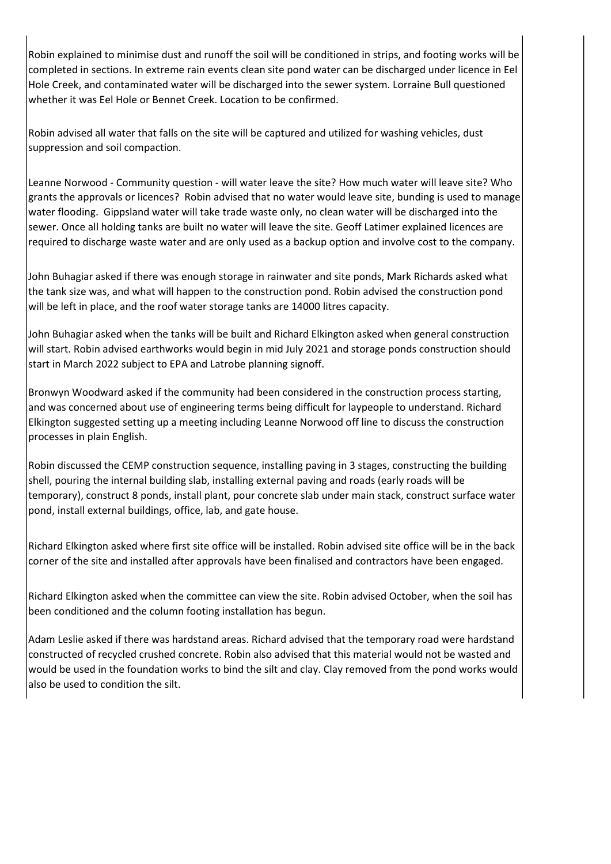Robin explained to minimise dust and runoff the soil will be conditioned in strips, and footing works will be completed in sections. In extreme rain events clean site pond water can be discharged under licence in Eel Hole Creek, and contaminated water will be discharged into the sewer system. Lorraine Bull questioned whether it was Eel Hole or Bennet Creek. Location to be confirmed.

Robin advised all water that falls on the site will be captured and utilized for washing vehicles, dust suppression and soil compaction.

Leanne Norwood - Community question - will water leave the site? How much water will leave site? Who grants the approvals or licences? Robin advised that no water would leave site, bunding is used to manage water flooding. Gippsland water will take trade waste only, no clean water will be discharged into the sewer. Once all holding tanks are built no water will leave the site. Geoff Latimer explained licences are required to discharge waste water and are only used as a backup option and involve cost to the company.

John Buhagiar asked if there was enough storage in rainwater and site ponds, Mark Richards asked what the tank size was, and what will happen to the construction pond. Robin advised the construction pond will be left in place, and the roof water storage tanks are 14000 litres capacity.

John Buhagiar asked when the tanks will be built and Richard Elkington asked when general construction will start. Robin advised earthworks would begin in mid July 2021 and storage ponds construction should start in March 2022 subject to EPA and Latrobe planning signoff.

Bronwyn Woodward asked if the community had been considered in the construction process starting, and was concerned about use of engineering terms being difficult for laypeople to understand. Richard Elkington suggested setting up a meeting including Leanne Norwood off line to discuss the construction processes in plain English.

Robin discussed the CEMP construction sequence, installing paving in 3 stages, constructing the building shell, pouring the internal building slab, installing external paving and roads (early roads will be temporary), construct 8 ponds, install plant, pour concrete slab under main stack, construct surface water pond, install external buildings, office, lab, and gate house.

Richard Elkington asked where first site office will be installed. Robin advised site office will be in the back corner of the site and installed after approvals have been finalised and contractors have been engaged.

Richard Elkington asked when the committee can view the site. Robin advised October, when the soil has been conditioned and the column footing installation has begun.

Adam Leslie asked if there was hardstand areas. Richard advised that the temporary road were hardstand constructed of recycled crushed concrete. Robin also advised that this material would not be wasted and would be used in the foundation works to bind the silt and clay. Clay removed from the pond works would also be used to condition the silt.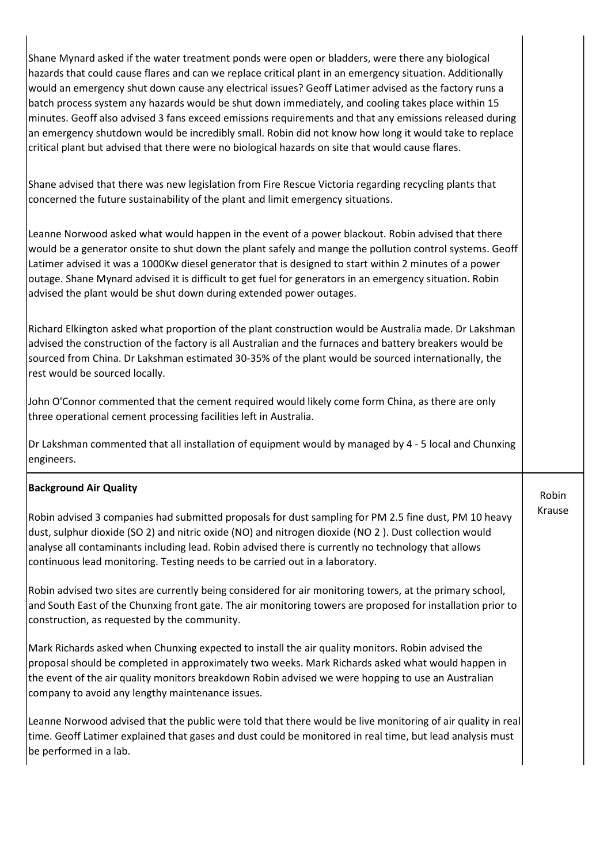Shane Mynard asked if the water treatment ponds were open or bladders, were there any biological hazards that could cause flares and can we replace critical plant in an emergency situation. Additionally would an emergency shut down cause any electrical issues? Geoff Latimer advised as the factory runs a batch process system any hazards would be shut down immediately, and cooling takes place within 15 minutes. Geoff also advised 3 fans exceed emissions requirements and that any emissions released during an emergency shutdown would be incredibly small. Robin did not know how long it would take to replace critical plant but advised that there were no biological hazards on site that would cause flares.

Shane advised that there was new legislation from Fire Rescue Victoria regarding recycling plants that concerned the future sustainability of the plant and limit emergency situations.

Leanne Norwood asked what would happen in the event of a power blackout. Robin advised that there would be a generator onsite to shut down the plant safely and mange the pollution control systems. Geoff Latimer advised it was a 1000Kw diesel generator that is designed to start within 2 minutes of a power outage. Shane Mynard advised it is difficult to get fuel for generators in an emergency situation. Robin advised the plant would be shut down during extended power outages.

Richard Elkington asked what proportion of the plant construction would be Australia made. Dr Lakshman advised the construction of the factory is all Australian and the furnaces and battery breakers would be sourced from China. Dr Lakshman estimated 30-35% of the plant would be sourced internationally, the rest would be sourced locally.

John O'Connor commented that the cement required would likely come form China, as there are only three operational cement processing facilities left in Australia.

Dr Lakshman commented that all installation of equipment would by managed by 4 - 5 local and Chunxing engineers.

> Robin Krause

## Background Air Quality

Robin advised 3 companies had submitted proposals for dust sampling for PM 2.5 fine dust, PM 10 heavy dust, sulphur dioxide (SO 2) and nitric oxide (NO) and nitrogen dioxide (NO 2 ). Dust collection would analyse all contaminants including lead. Robin advised there is currently no technology that allows continuous lead monitoring. Testing needs to be carried out in a laboratory.

Robin advised two sites are currently being considered for air monitoring towers, at the primary school, and South East of the Chunxing front gate. The air monitoring towers are proposed for installation prior to construction, as requested by the community.

Mark Richards asked when Chunxing expected to install the air quality monitors. Robin advised the proposal should be completed in approximately two weeks. Mark Richards asked what would happen in the event of the air quality monitors breakdown Robin advised we were hopping to use an Australian company to avoid any lengthy maintenance issues.

Leanne Norwood advised that the public were told that there would be live monitoring of air quality in real time. Geoff Latimer explained that gases and dust could be monitored in real time, but lead analysis must be performed in a lab.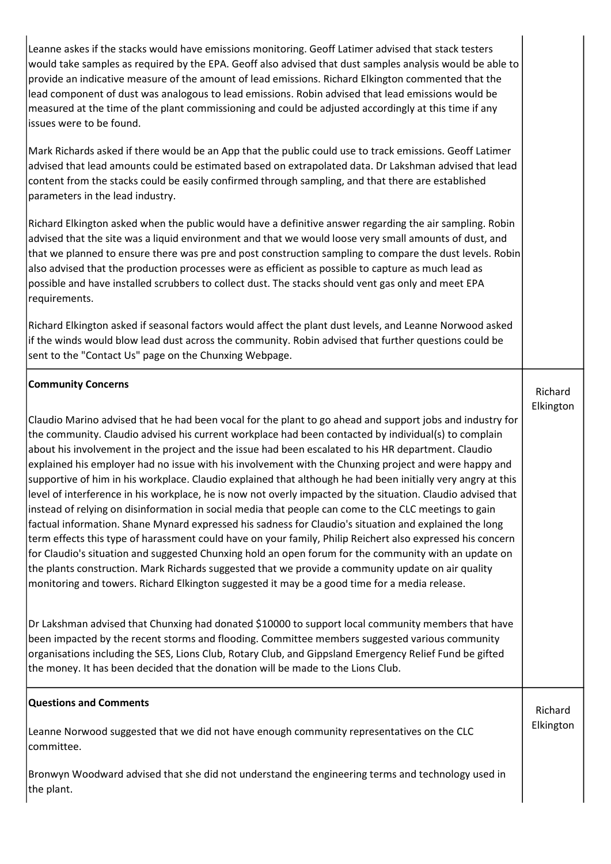| Leanne askes if the stacks would have emissions monitoring. Geoff Latimer advised that stack testers<br>would take samples as required by the EPA. Geoff also advised that dust samples analysis would be able to<br>provide an indicative measure of the amount of lead emissions. Richard Elkington commented that the<br>lead component of dust was analogous to lead emissions. Robin advised that lead emissions would be<br>measured at the time of the plant commissioning and could be adjusted accordingly at this time if any<br>issues were to be found.                                                                                                                                                                                                                                                                                                                                                                                                                                                                                                                                                                                                                                                                                                                                                |           |
|--------------------------------------------------------------------------------------------------------------------------------------------------------------------------------------------------------------------------------------------------------------------------------------------------------------------------------------------------------------------------------------------------------------------------------------------------------------------------------------------------------------------------------------------------------------------------------------------------------------------------------------------------------------------------------------------------------------------------------------------------------------------------------------------------------------------------------------------------------------------------------------------------------------------------------------------------------------------------------------------------------------------------------------------------------------------------------------------------------------------------------------------------------------------------------------------------------------------------------------------------------------------------------------------------------------------|-----------|
| Mark Richards asked if there would be an App that the public could use to track emissions. Geoff Latimer<br>advised that lead amounts could be estimated based on extrapolated data. Dr Lakshman advised that lead<br>content from the stacks could be easily confirmed through sampling, and that there are established<br>parameters in the lead industry.                                                                                                                                                                                                                                                                                                                                                                                                                                                                                                                                                                                                                                                                                                                                                                                                                                                                                                                                                       |           |
| Richard Elkington asked when the public would have a definitive answer regarding the air sampling. Robin<br>advised that the site was a liquid environment and that we would loose very small amounts of dust, and<br>that we planned to ensure there was pre and post construction sampling to compare the dust levels. Robin<br>also advised that the production processes were as efficient as possible to capture as much lead as<br>possible and have installed scrubbers to collect dust. The stacks should vent gas only and meet EPA<br>requirements.                                                                                                                                                                                                                                                                                                                                                                                                                                                                                                                                                                                                                                                                                                                                                      |           |
| Richard Elkington asked if seasonal factors would affect the plant dust levels, and Leanne Norwood asked<br>if the winds would blow lead dust across the community. Robin advised that further questions could be<br>sent to the "Contact Us" page on the Chunxing Webpage.                                                                                                                                                                                                                                                                                                                                                                                                                                                                                                                                                                                                                                                                                                                                                                                                                                                                                                                                                                                                                                        |           |
| <b>Community Concerns</b>                                                                                                                                                                                                                                                                                                                                                                                                                                                                                                                                                                                                                                                                                                                                                                                                                                                                                                                                                                                                                                                                                                                                                                                                                                                                                          | Richard   |
| Claudio Marino advised that he had been vocal for the plant to go ahead and support jobs and industry for<br>the community. Claudio advised his current workplace had been contacted by individual(s) to complain<br>about his involvement in the project and the issue had been escalated to his HR department. Claudio<br>explained his employer had no issue with his involvement with the Chunxing project and were happy and<br>supportive of him in his workplace. Claudio explained that although he had been initially very angry at this<br>level of interference in his workplace, he is now not overly impacted by the situation. Claudio advised that<br>instead of relying on disinformation in social media that people can come to the CLC meetings to gain<br>factual information. Shane Mynard expressed his sadness for Claudio's situation and explained the long<br>term effects this type of harassment could have on your family, Philip Reichert also expressed his concern<br>for Claudio's situation and suggested Chunxing hold an open forum for the community with an update on<br>the plants construction. Mark Richards suggested that we provide a community update on air quality<br>monitoring and towers. Richard Elkington suggested it may be a good time for a media release. | Elkington |
| Dr Lakshman advised that Chunxing had donated \$10000 to support local community members that have<br>been impacted by the recent storms and flooding. Committee members suggested various community<br>organisations including the SES, Lions Club, Rotary Club, and Gippsland Emergency Relief Fund be gifted<br>the money. It has been decided that the donation will be made to the Lions Club.                                                                                                                                                                                                                                                                                                                                                                                                                                                                                                                                                                                                                                                                                                                                                                                                                                                                                                                |           |
| <b>Questions and Comments</b>                                                                                                                                                                                                                                                                                                                                                                                                                                                                                                                                                                                                                                                                                                                                                                                                                                                                                                                                                                                                                                                                                                                                                                                                                                                                                      | Richard   |
| Leanne Norwood suggested that we did not have enough community representatives on the CLC<br>committee.                                                                                                                                                                                                                                                                                                                                                                                                                                                                                                                                                                                                                                                                                                                                                                                                                                                                                                                                                                                                                                                                                                                                                                                                            | Elkington |
| Bronwyn Woodward advised that she did not understand the engineering terms and technology used in<br>the plant.                                                                                                                                                                                                                                                                                                                                                                                                                                                                                                                                                                                                                                                                                                                                                                                                                                                                                                                                                                                                                                                                                                                                                                                                    |           |